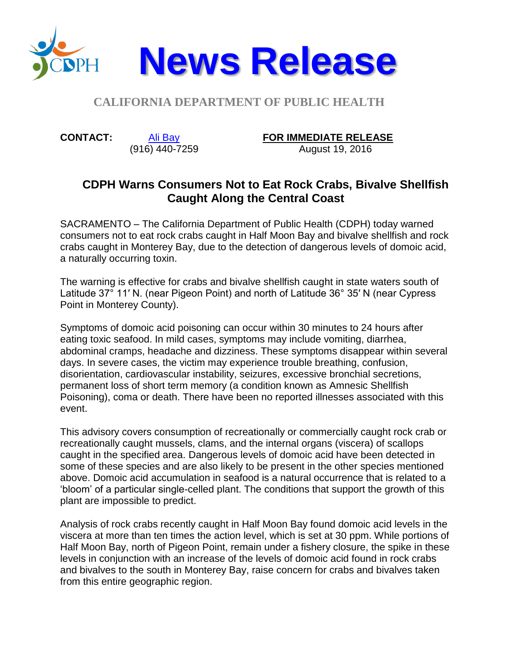

## **CALIFORNIA DEPARTMENT OF PUBLIC HEALTH**

**CONTACT:** [Ali Bay](mailto:Ali.Bay@cdph.ca.gov?subject=News%20release)

## (916) 440-7259

**FOR IMMEDIATE RELEASE**

August 19, 2016

## **CDPH Warns Consumers Not to Eat Rock Crabs, Bivalve Shellfish Caught Along the Central Coast**

SACRAMENTO – The California Department of Public Health (CDPH) today warned consumers not to eat rock crabs caught in Half Moon Bay and bivalve shellfish and rock crabs caught in Monterey Bay, due to the detection of dangerous levels of domoic acid, a naturally occurring toxin.

The warning is effective for crabs and bivalve shellfish caught in state waters south of Latitude 37° 11′ N. (near Pigeon Point) and north of Latitude 36° 35′ N (near Cypress Point in Monterey County).

Symptoms of domoic acid poisoning can occur within 30 minutes to 24 hours after eating toxic seafood. In mild cases, symptoms may include vomiting, diarrhea, abdominal cramps, headache and dizziness. These symptoms disappear within several days. In severe cases, the victim may experience trouble breathing, confusion, disorientation, cardiovascular instability, seizures, excessive bronchial secretions, permanent loss of short term memory (a condition known as Amnesic Shellfish Poisoning), coma or death. There have been no reported illnesses associated with this event.

This advisory covers consumption of recreationally or commercially caught rock crab or recreationally caught mussels, clams, and the internal organs (viscera) of scallops caught in the specified area. Dangerous levels of domoic acid have been detected in some of these species and are also likely to be present in the other species mentioned above. Domoic acid accumulation in seafood is a natural occurrence that is related to a 'bloom' of a particular single-celled plant. The conditions that support the growth of this plant are impossible to predict.

Analysis of rock crabs recently caught in Half Moon Bay found domoic acid levels in the viscera at more than ten times the action level, which is set at 30 ppm. While portions of Half Moon Bay, north of Pigeon Point, remain under a fishery closure, the spike in these levels in conjunction with an increase of the levels of domoic acid found in rock crabs and bivalves to the south in Monterey Bay, raise concern for crabs and bivalves taken from this entire geographic region.